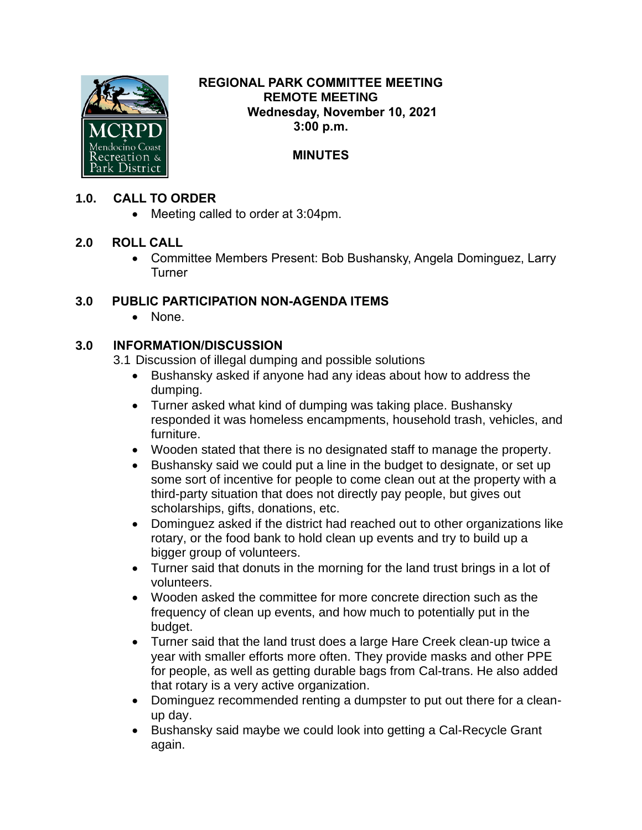

#### **REGIONAL PARK COMMITTEE MEETING REMOTE MEETING Wednesday, November 10, 2021 3:00 p.m.**

# **MINUTES**

## **1.0. CALL TO ORDER**

• Meeting called to order at 3:04pm.

## **2.0 ROLL CALL**

• Committee Members Present: Bob Bushansky, Angela Dominguez, Larry **Turner** 

## **3.0 PUBLIC PARTICIPATION NON-AGENDA ITEMS**

• None.

# **3.0 INFORMATION/DISCUSSION**

3.1 Discussion of illegal dumping and possible solutions

- Bushansky asked if anyone had any ideas about how to address the dumping.
- Turner asked what kind of dumping was taking place. Bushansky responded it was homeless encampments, household trash, vehicles, and furniture.
- Wooden stated that there is no designated staff to manage the property.
- Bushansky said we could put a line in the budget to designate, or set up some sort of incentive for people to come clean out at the property with a third-party situation that does not directly pay people, but gives out scholarships, gifts, donations, etc.
- Dominguez asked if the district had reached out to other organizations like rotary, or the food bank to hold clean up events and try to build up a bigger group of volunteers.
- Turner said that donuts in the morning for the land trust brings in a lot of volunteers.
- Wooden asked the committee for more concrete direction such as the frequency of clean up events, and how much to potentially put in the budget.
- Turner said that the land trust does a large Hare Creek clean-up twice a year with smaller efforts more often. They provide masks and other PPE for people, as well as getting durable bags from Cal-trans. He also added that rotary is a very active organization.
- Dominguez recommended renting a dumpster to put out there for a cleanup day.
- Bushansky said maybe we could look into getting a Cal-Recycle Grant again.